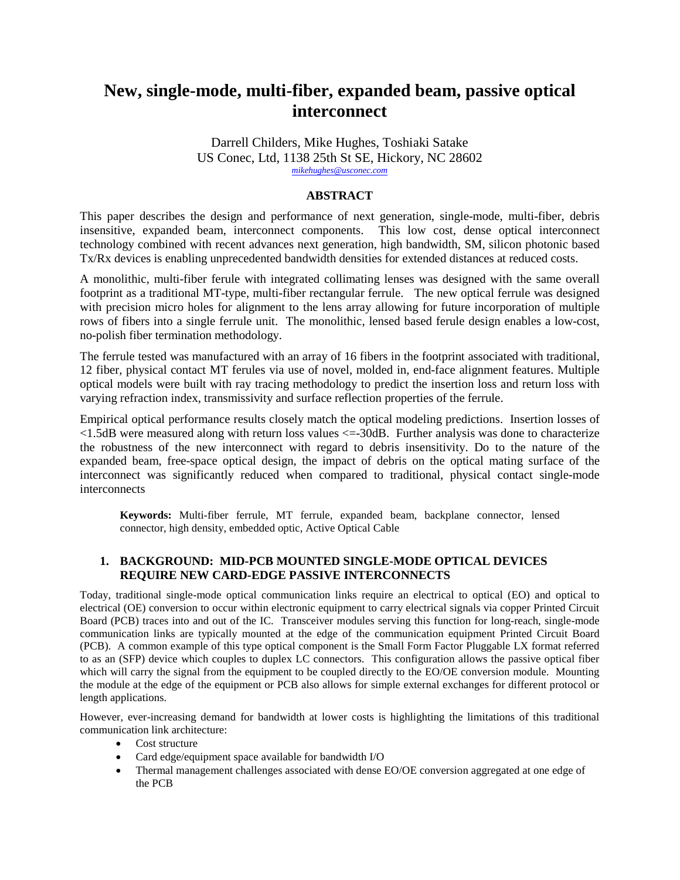# **New, single-mode, multi-fiber, expanded beam, passive optical interconnect**

Darrell Childers, Mike Hughes, Toshiaki Satake US Conec, Ltd, 1138 25th St SE, Hickory, NC 28602 *[mikehughes@usconec.com](mailto:mikehughes@usconec.com)*

## **ABSTRACT**

This paper describes the design and performance of next generation, single-mode, multi-fiber, debris insensitive, expanded beam, interconnect components. This low cost, dense optical interconnect technology combined with recent advances next generation, high bandwidth, SM, silicon photonic based Tx/Rx devices is enabling unprecedented bandwidth densities for extended distances at reduced costs.

A monolithic, multi-fiber ferule with integrated collimating lenses was designed with the same overall footprint as a traditional MT-type, multi-fiber rectangular ferrule. The new optical ferrule was designed with precision micro holes for alignment to the lens array allowing for future incorporation of multiple rows of fibers into a single ferrule unit. The monolithic, lensed based ferule design enables a low-cost, no-polish fiber termination methodology.

The ferrule tested was manufactured with an array of 16 fibers in the footprint associated with traditional, 12 fiber, physical contact MT ferules via use of novel, molded in, end-face alignment features. Multiple optical models were built with ray tracing methodology to predict the insertion loss and return loss with varying refraction index, transmissivity and surface reflection properties of the ferrule.

Empirical optical performance results closely match the optical modeling predictions. Insertion losses of <1.5dB were measured along with return loss values <=-30dB. Further analysis was done to characterize the robustness of the new interconnect with regard to debris insensitivity. Do to the nature of the expanded beam, free-space optical design, the impact of debris on the optical mating surface of the interconnect was significantly reduced when compared to traditional, physical contact single-mode interconnects

**Keywords:** Multi-fiber ferrule, MT ferrule, expanded beam, backplane connector, lensed connector, high density, embedded optic, Active Optical Cable

### **1. BACKGROUND: MID-PCB MOUNTED SINGLE-MODE OPTICAL DEVICES REQUIRE NEW CARD-EDGE PASSIVE INTERCONNECTS**

Today, traditional single-mode optical communication links require an electrical to optical (EO) and optical to electrical (OE) conversion to occur within electronic equipment to carry electrical signals via copper Printed Circuit Board (PCB) traces into and out of the IC. Transceiver modules serving this function for long-reach, single-mode communication links are typically mounted at the edge of the communication equipment Printed Circuit Board (PCB). A common example of this type optical component is the Small Form Factor Pluggable LX format referred to as an (SFP) device which couples to duplex LC connectors. This configuration allows the passive optical fiber which will carry the signal from the equipment to be coupled directly to the EO/OE conversion module. Mounting the module at the edge of the equipment or PCB also allows for simple external exchanges for different protocol or length applications.

However, ever-increasing demand for bandwidth at lower costs is highlighting the limitations of this traditional communication link architecture:

- Cost structure
- Card edge/equipment space available for bandwidth I/O
- Thermal management challenges associated with dense EO/OE conversion aggregated at one edge of the PCB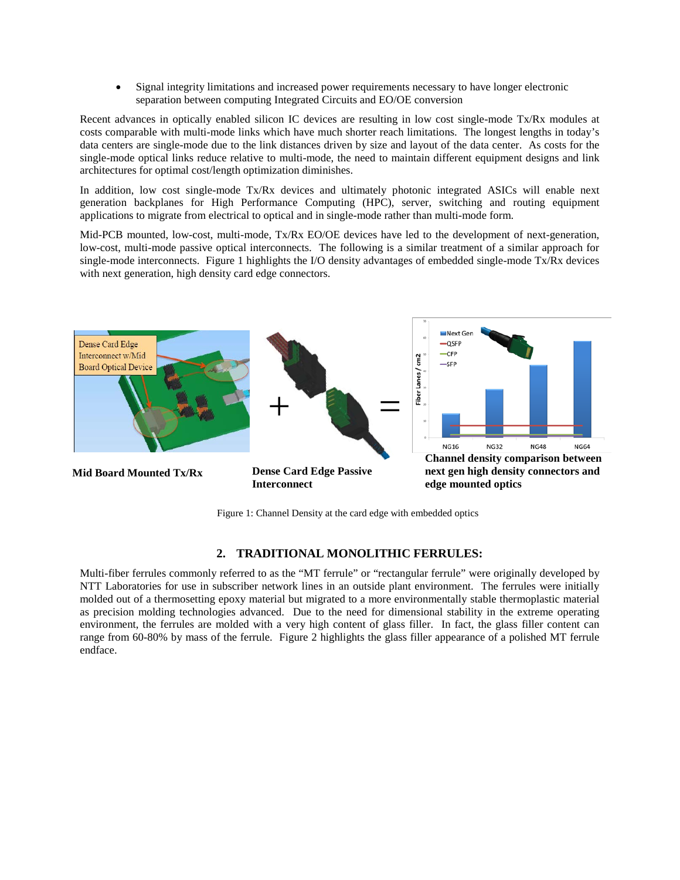• Signal integrity limitations and increased power requirements necessary to have longer electronic separation between computing Integrated Circuits and EO/OE conversion

Recent advances in optically enabled silicon IC devices are resulting in low cost single-mode Tx/Rx modules at costs comparable with multi-mode links which have much shorter reach limitations. The longest lengths in today's data centers are single-mode due to the link distances driven by size and layout of the data center. As costs for the single-mode optical links reduce relative to multi-mode, the need to maintain different equipment designs and link architectures for optimal cost/length optimization diminishes.

In addition, low cost single-mode Tx/Rx devices and ultimately photonic integrated ASICs will enable next generation backplanes for High Performance Computing (HPC), server, switching and routing equipment applications to migrate from electrical to optical and in single-mode rather than multi-mode form.

Mid-PCB mounted, low-cost, multi-mode, Tx/Rx EO/OE devices have led to the development of next-generation, low-cost, multi-mode passive optical interconnects. The following is a similar treatment of a similar approach for single-mode interconnects. Figure 1 highlights the I/O density advantages of embedded single-mode Tx/Rx devices with next generation, high density card edge connectors.



Figure 1: Channel Density at the card edge with embedded optics

# **2. TRADITIONAL MONOLITHIC FERRULES:**

Multi-fiber ferrules commonly referred to as the "MT ferrule" or "rectangular ferrule" were originally developed by NTT Laboratories for use in subscriber network lines in an outside plant environment. The ferrules were initially molded out of a thermosetting epoxy material but migrated to a more environmentally stable thermoplastic material as precision molding technologies advanced. Due to the need for dimensional stability in the extreme operating environment, the ferrules are molded with a very high content of glass filler. In fact, the glass filler content can range from 60-80% by mass of the ferrule. Figure 2 highlights the glass filler appearance of a polished MT ferrule endface.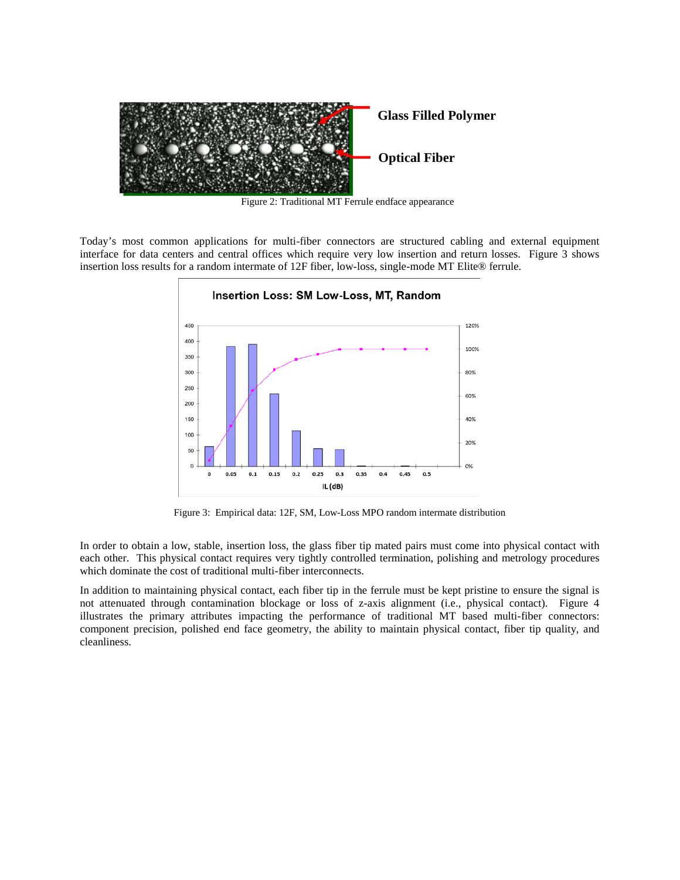

Figure 2: Traditional MT Ferrule endface appearance

Today's most common applications for multi-fiber connectors are structured cabling and external equipment interface for data centers and central offices which require very low insertion and return losses. Figure 3 shows insertion loss results for a random intermate of 12F fiber, low-loss, single-mode MT Elite® ferrule.



Figure 3: Empirical data: 12F, SM, Low-Loss MPO random intermate distribution

In order to obtain a low, stable, insertion loss, the glass fiber tip mated pairs must come into physical contact with each other. This physical contact requires very tightly controlled termination, polishing and metrology procedures which dominate the cost of traditional multi-fiber interconnects.

In addition to maintaining physical contact, each fiber tip in the ferrule must be kept pristine to ensure the signal is not attenuated through contamination blockage or loss of z-axis alignment (i.e., physical contact). Figure 4 illustrates the primary attributes impacting the performance of traditional MT based multi-fiber connectors: component precision, polished end face geometry, the ability to maintain physical contact, fiber tip quality, and cleanliness.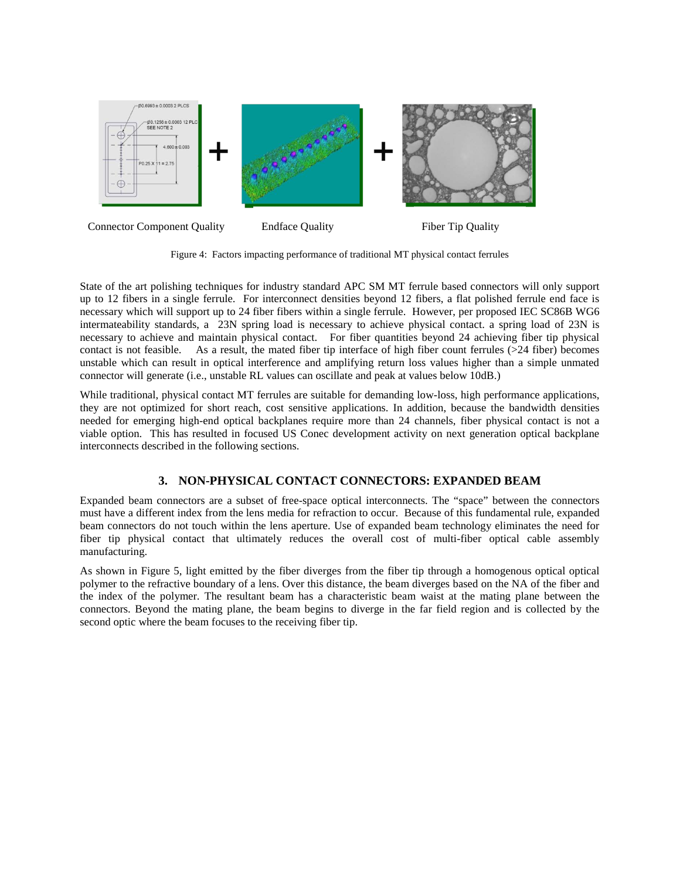

Figure 4: Factors impacting performance of traditional MT physical contact ferrules

State of the art polishing techniques for industry standard APC SM MT ferrule based connectors will only support up to 12 fibers in a single ferrule. For interconnect densities beyond 12 fibers, a flat polished ferrule end face is necessary which will support up to 24 fiber fibers within a single ferrule. However, per proposed IEC SC86B WG6 intermateability standards, a 23N spring load is necessary to achieve physical contact. a spring load of 23N is necessary to achieve and maintain physical contact. For fiber quantities beyond 24 achieving fiber tip physical contact is not feasible. As a result, the mated fiber tip interface of high fiber count ferrules (>24 fiber) becomes unstable which can result in optical interference and amplifying return loss values higher than a simple unmated connector will generate (i.e., unstable RL values can oscillate and peak at values below 10dB.)

While traditional, physical contact MT ferrules are suitable for demanding low-loss, high performance applications, they are not optimized for short reach, cost sensitive applications. In addition, because the bandwidth densities needed for emerging high-end optical backplanes require more than 24 channels, fiber physical contact is not a viable option. This has resulted in focused US Conec development activity on next generation optical backplane interconnects described in the following sections.

# **3. NON-PHYSICAL CONTACT CONNECTORS: EXPANDED BEAM**

Expanded beam connectors are a subset of free-space optical interconnects. The "space" between the connectors must have a different index from the lens media for refraction to occur. Because of this fundamental rule, expanded beam connectors do not touch within the lens aperture. Use of expanded beam technology eliminates the need for fiber tip physical contact that ultimately reduces the overall cost of multi-fiber optical cable assembly manufacturing.

As shown in Figure 5, light emitted by the fiber diverges from the fiber tip through a homogenous optical optical polymer to the refractive boundary of a lens. Over this distance, the beam diverges based on the NA of the fiber and the index of the polymer. The resultant beam has a characteristic beam waist at the mating plane between the connectors. Beyond the mating plane, the beam begins to diverge in the far field region and is collected by the second optic where the beam focuses to the receiving fiber tip.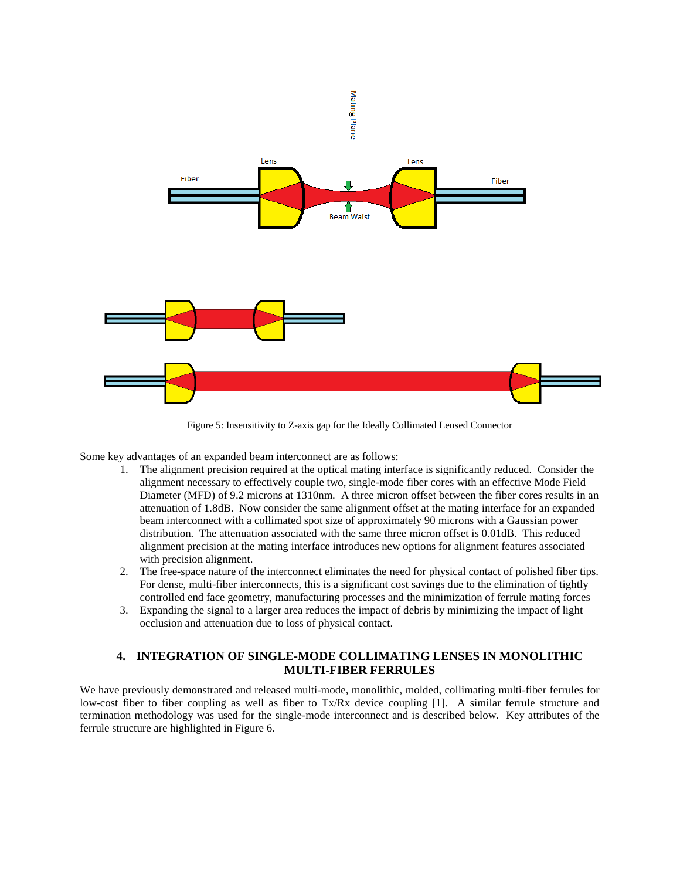

Figure 5: Insensitivity to Z-axis gap for the Ideally Collimated Lensed Connector

Some key advantages of an expanded beam interconnect are as follows:

- 1. The alignment precision required at the optical mating interface is significantly reduced. Consider the alignment necessary to effectively couple two, single-mode fiber cores with an effective Mode Field Diameter (MFD) of 9.2 microns at 1310nm. A three micron offset between the fiber cores results in an attenuation of 1.8dB. Now consider the same alignment offset at the mating interface for an expanded beam interconnect with a collimated spot size of approximately 90 microns with a Gaussian power distribution. The attenuation associated with the same three micron offset is 0.01dB. This reduced alignment precision at the mating interface introduces new options for alignment features associated with precision alignment.
- 2. The free-space nature of the interconnect eliminates the need for physical contact of polished fiber tips. For dense, multi-fiber interconnects, this is a significant cost savings due to the elimination of tightly controlled end face geometry, manufacturing processes and the minimization of ferrule mating forces
- 3. Expanding the signal to a larger area reduces the impact of debris by minimizing the impact of light occlusion and attenuation due to loss of physical contact.

# **4. INTEGRATION OF SINGLE-MODE COLLIMATING LENSES IN MONOLITHIC MULTI-FIBER FERRULES**

We have previously demonstrated and released multi-mode, monolithic, molded, collimating multi-fiber ferrules for low-cost fiber to fiber coupling as well as fiber to Tx/Rx device coupling [1]. A similar ferrule structure and termination methodology was used for the single-mode interconnect and is described below. Key attributes of the ferrule structure are highlighted in Figure 6.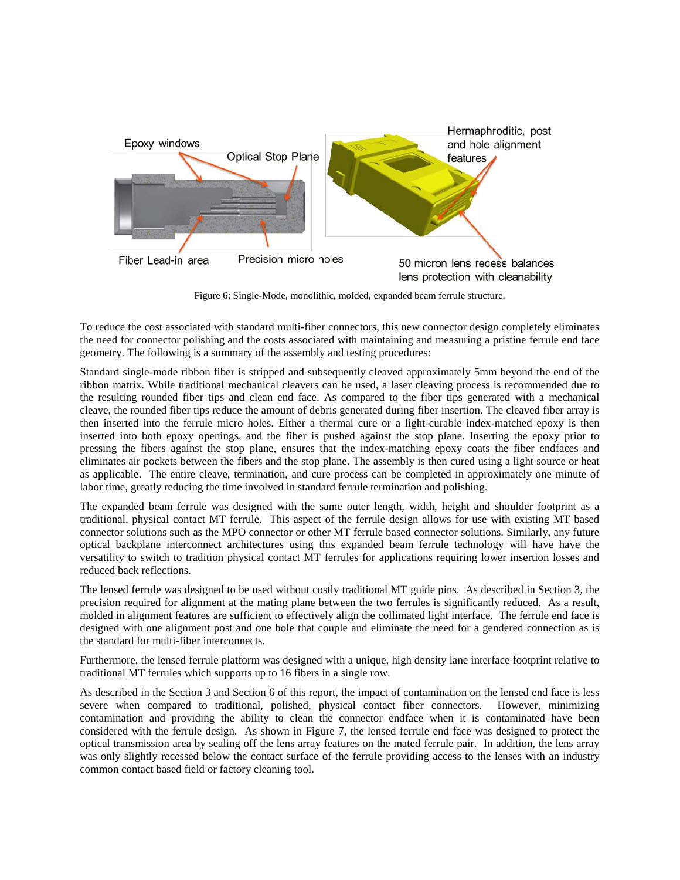

Figure 6: Single-Mode, monolithic, molded, expanded beam ferrule structure.

To reduce the cost associated with standard multi-fiber connectors, this new connector design completely eliminates the need for connector polishing and the costs associated with maintaining and measuring a pristine ferrule end face geometry. The following is a summary of the assembly and testing procedures:

Standard single-mode ribbon fiber is stripped and subsequently cleaved approximately 5mm beyond the end of the ribbon matrix. While traditional mechanical cleavers can be used, a laser cleaving process is recommended due to the resulting rounded fiber tips and clean end face. As compared to the fiber tips generated with a mechanical cleave, the rounded fiber tips reduce the amount of debris generated during fiber insertion. The cleaved fiber array is then inserted into the ferrule micro holes. Either a thermal cure or a light-curable index-matched epoxy is then inserted into both epoxy openings, and the fiber is pushed against the stop plane. Inserting the epoxy prior to pressing the fibers against the stop plane, ensures that the index-matching epoxy coats the fiber endfaces and eliminates air pockets between the fibers and the stop plane. The assembly is then cured using a light source or heat as applicable. The entire cleave, termination, and cure process can be completed in approximately one minute of labor time, greatly reducing the time involved in standard ferrule termination and polishing.

The expanded beam ferrule was designed with the same outer length, width, height and shoulder footprint as a traditional, physical contact MT ferrule. This aspect of the ferrule design allows for use with existing MT based connector solutions such as the MPO connector or other MT ferrule based connector solutions. Similarly, any future optical backplane interconnect architectures using this expanded beam ferrule technology will have have the versatility to switch to tradition physical contact MT ferrules for applications requiring lower insertion losses and reduced back reflections.

The lensed ferrule was designed to be used without costly traditional MT guide pins. As described in Section 3, the precision required for alignment at the mating plane between the two ferrules is significantly reduced. As a result, molded in alignment features are sufficient to effectively align the collimated light interface. The ferrule end face is designed with one alignment post and one hole that couple and eliminate the need for a gendered connection as is the standard for multi-fiber interconnects.

Furthermore, the lensed ferrule platform was designed with a unique, high density lane interface footprint relative to traditional MT ferrules which supports up to 16 fibers in a single row.

As described in the Section 3 and Section 6 of this report, the impact of contamination on the lensed end face is less severe when compared to traditional, polished, physical contact fiber connectors. However, minimizing contamination and providing the ability to clean the connector endface when it is contaminated have been considered with the ferrule design. As shown in Figure 7, the lensed ferrule end face was designed to protect the optical transmission area by sealing off the lens array features on the mated ferrule pair. In addition, the lens array was only slightly recessed below the contact surface of the ferrule providing access to the lenses with an industry common contact based field or factory cleaning tool.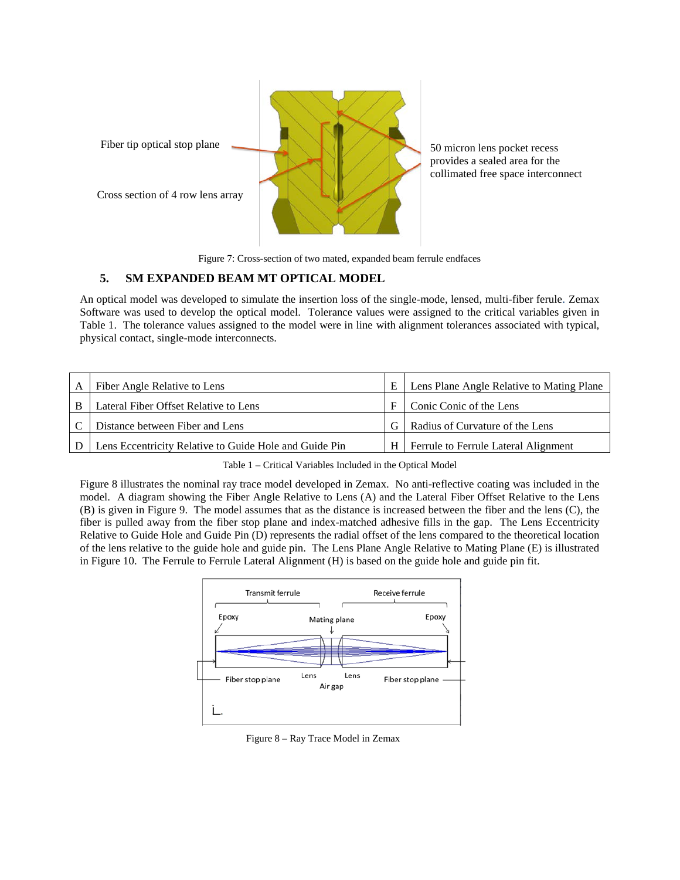

Figure 7: Cross-section of two mated, expanded beam ferrule endfaces

# **5. SM EXPANDED BEAM MT OPTICAL MODEL**

An optical model was developed to simulate the insertion loss of the single-mode, lensed, multi-fiber ferule. Zemax Software was used to develop the optical model. Tolerance values were assigned to the critical variables given in Table 1. The tolerance values assigned to the model were in line with alignment tolerances associated with typical, physical contact, single-mode interconnects.

| Fiber Angle Relative to Lens                           |                | Lens Plane Angle Relative to Mating Plane |
|--------------------------------------------------------|----------------|-------------------------------------------|
| Lateral Fiber Offset Relative to Lens                  |                | Conic Conic of the Lens                   |
| Distance between Fiber and Lens                        | G.             | Radius of Curvature of the Lens           |
| Lens Eccentricity Relative to Guide Hole and Guide Pin | H <sub>1</sub> | Ferrule to Ferrule Lateral Alignment      |

Table 1 – Critical Variables Included in the Optical Model

Figure 8 illustrates the nominal ray trace model developed in Zemax. No anti-reflective coating was included in the model. A diagram showing the Fiber Angle Relative to Lens (A) and the Lateral Fiber Offset Relative to the Lens (B) is given in Figure 9. The model assumes that as the distance is increased between the fiber and the lens (C), the fiber is pulled away from the fiber stop plane and index-matched adhesive fills in the gap. The Lens Eccentricity Relative to Guide Hole and Guide Pin (D) represents the radial offset of the lens compared to the theoretical location of the lens relative to the guide hole and guide pin. The Lens Plane Angle Relative to Mating Plane (E) is illustrated in Figure 10. The Ferrule to Ferrule Lateral Alignment (H) is based on the guide hole and guide pin fit.



Figure 8 – Ray Trace Model in Zemax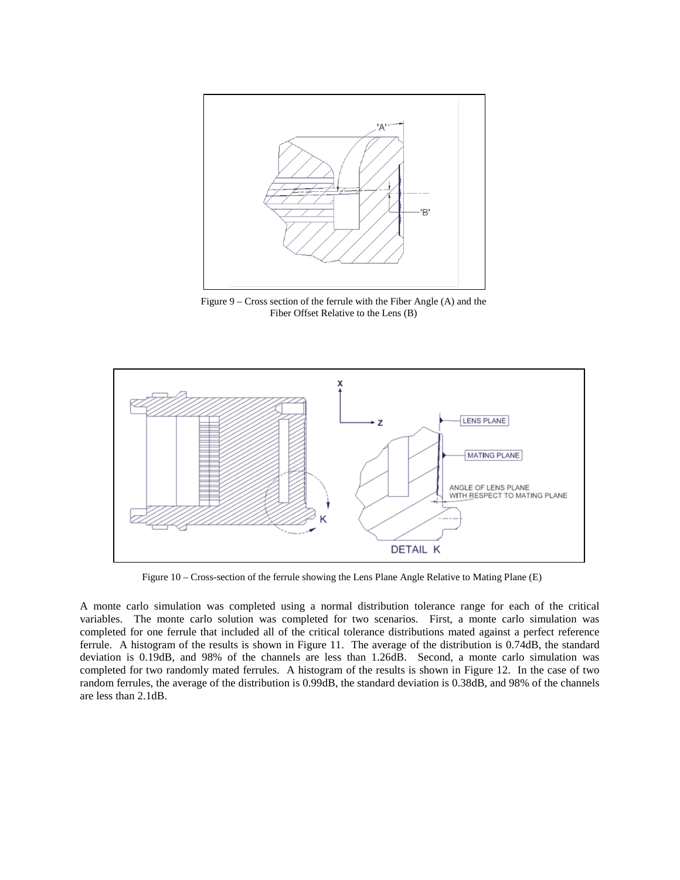

Figure 9 – Cross section of the ferrule with the Fiber Angle (A) and the Fiber Offset Relative to the Lens (B)



Figure 10 – Cross-section of the ferrule showing the Lens Plane Angle Relative to Mating Plane (E)

A monte carlo simulation was completed using a normal distribution tolerance range for each of the critical variables. The monte carlo solution was completed for two scenarios. First, a monte carlo simulation was completed for one ferrule that included all of the critical tolerance distributions mated against a perfect reference ferrule. A histogram of the results is shown in Figure 11. The average of the distribution is 0.74dB, the standard deviation is 0.19dB, and 98% of the channels are less than 1.26dB. Second, a monte carlo simulation was completed for two randomly mated ferrules. A histogram of the results is shown in Figure 12. In the case of two random ferrules, the average of the distribution is 0.99dB, the standard deviation is 0.38dB, and 98% of the channels are less than 2.1dB.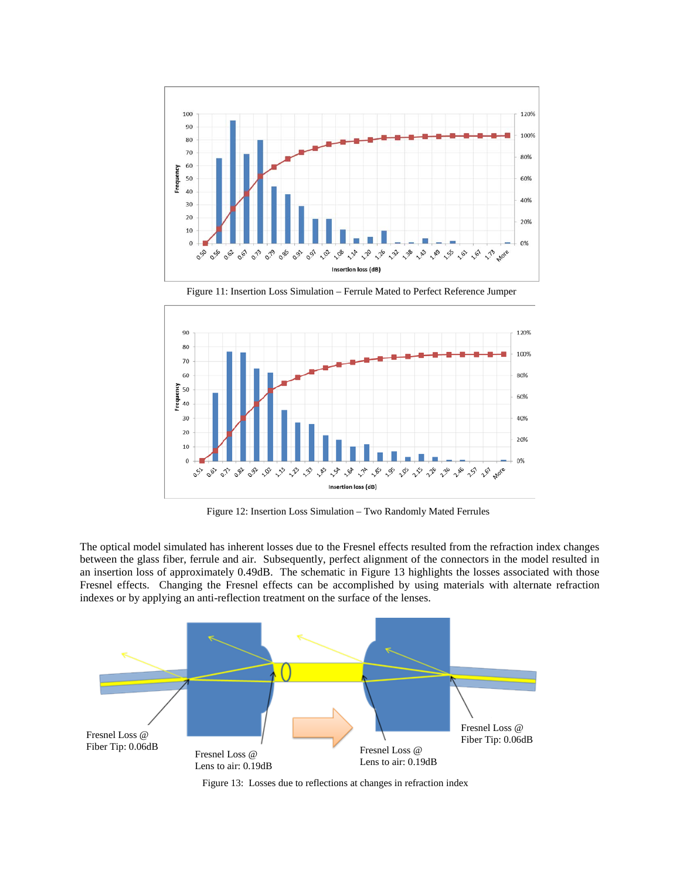

Figure 11: Insertion Loss Simulation – Ferrule Mated to Perfect Reference Jumper



Figure 12: Insertion Loss Simulation – Two Randomly Mated Ferrules

The optical model simulated has inherent losses due to the Fresnel effects resulted from the refraction index changes between the glass fiber, ferrule and air. Subsequently, perfect alignment of the connectors in the model resulted in an insertion loss of approximately 0.49dB. The schematic in Figure 13 highlights the losses associated with those Fresnel effects. Changing the Fresnel effects can be accomplished by using materials with alternate refraction indexes or by applying an anti-reflection treatment on the surface of the lenses.



Figure 13: Losses due to reflections at changes in refraction index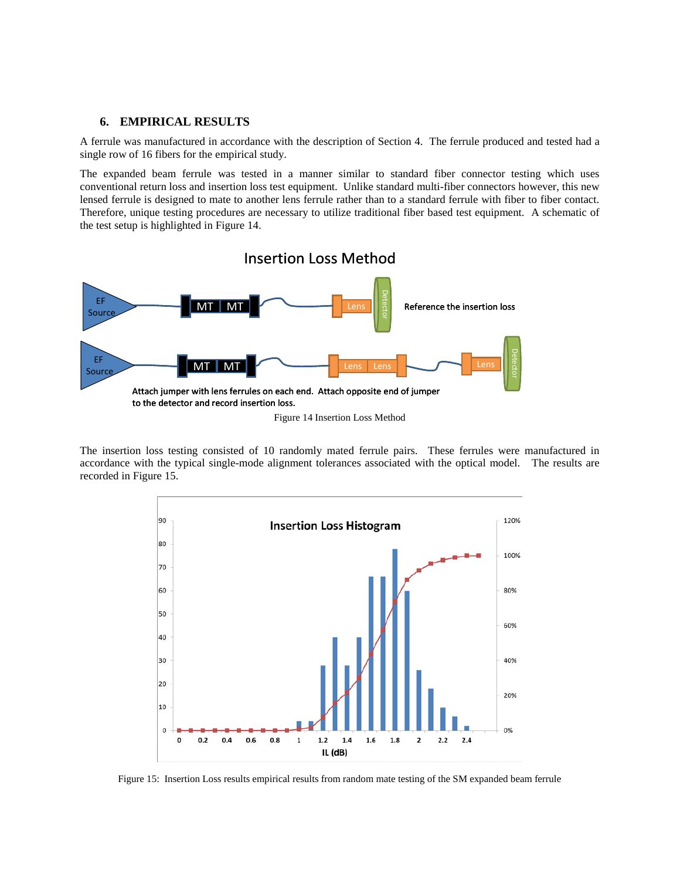#### **6. EMPIRICAL RESULTS**

A ferrule was manufactured in accordance with the description of Section 4. The ferrule produced and tested had a single row of 16 fibers for the empirical study.

The expanded beam ferrule was tested in a manner similar to standard fiber connector testing which uses conventional return loss and insertion loss test equipment. Unlike standard multi-fiber connectors however, this new lensed ferrule is designed to mate to another lens ferrule rather than to a standard ferrule with fiber to fiber contact. Therefore, unique testing procedures are necessary to utilize traditional fiber based test equipment. A schematic of the test setup is highlighted in Figure 14.



The insertion loss testing consisted of 10 randomly mated ferrule pairs. These ferrules were manufactured in accordance with the typical single-mode alignment tolerances associated with the optical model. The results are recorded in Figure 15.



Figure 15: Insertion Loss results empirical results from random mate testing of the SM expanded beam ferrule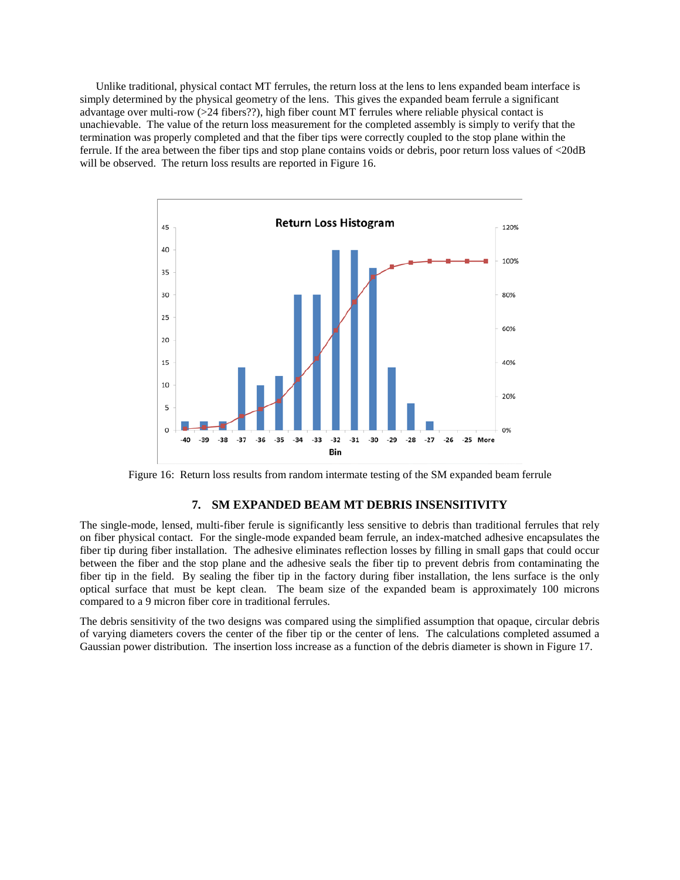Unlike traditional, physical contact MT ferrules, the return loss at the lens to lens expanded beam interface is simply determined by the physical geometry of the lens. This gives the expanded beam ferrule a significant advantage over multi-row (>24 fibers??), high fiber count MT ferrules where reliable physical contact is unachievable. The value of the return loss measurement for the completed assembly is simply to verify that the termination was properly completed and that the fiber tips were correctly coupled to the stop plane within the ferrule. If the area between the fiber tips and stop plane contains voids or debris, poor return loss values of <20dB will be observed. The return loss results are reported in Figure 16.



Figure 16: Return loss results from random intermate testing of the SM expanded beam ferrule

#### **7. SM EXPANDED BEAM MT DEBRIS INSENSITIVITY**

The single-mode, lensed, multi-fiber ferule is significantly less sensitive to debris than traditional ferrules that rely on fiber physical contact. For the single-mode expanded beam ferrule, an index-matched adhesive encapsulates the fiber tip during fiber installation. The adhesive eliminates reflection losses by filling in small gaps that could occur between the fiber and the stop plane and the adhesive seals the fiber tip to prevent debris from contaminating the fiber tip in the field. By sealing the fiber tip in the factory during fiber installation, the lens surface is the only optical surface that must be kept clean. The beam size of the expanded beam is approximately 100 microns compared to a 9 micron fiber core in traditional ferrules.

The debris sensitivity of the two designs was compared using the simplified assumption that opaque, circular debris of varying diameters covers the center of the fiber tip or the center of lens. The calculations completed assumed a Gaussian power distribution. The insertion loss increase as a function of the debris diameter is shown in Figure 17.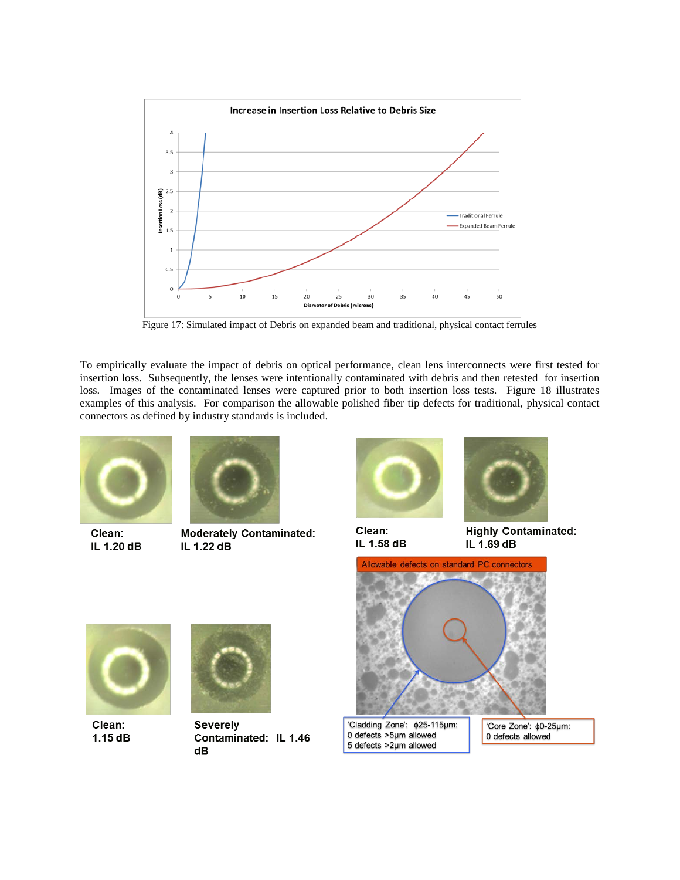

Figure 17: Simulated impact of Debris on expanded beam and traditional, physical contact ferrules

To empirically evaluate the impact of debris on optical performance, clean lens interconnects were first tested for insertion loss. Subsequently, the lenses were intentionally contaminated with debris and then retested for insertion loss. Images of the contaminated lenses were captured prior to both insertion loss tests. Figure 18 illustrates examples of this analysis. For comparison the allowable polished fiber tip defects for traditional, physical contact connectors as defined by industry standards is included.



Clean: IL 1.20 dB

Clean:

1.15 dB



**Moderately Contaminated:** IL 1.22 dB



Clean: IL 1.58 dB



**Highly Contaminated:** IL 1.69 dB



**Severely** 

Contaminated: IL 1.46  $dB$ 

'Cladding Zone': \$25-115µm: 0 defects >5µm allowed 5 defects >2µm allowed

'Core Zone': \$0-25µm: 0 defects allowed